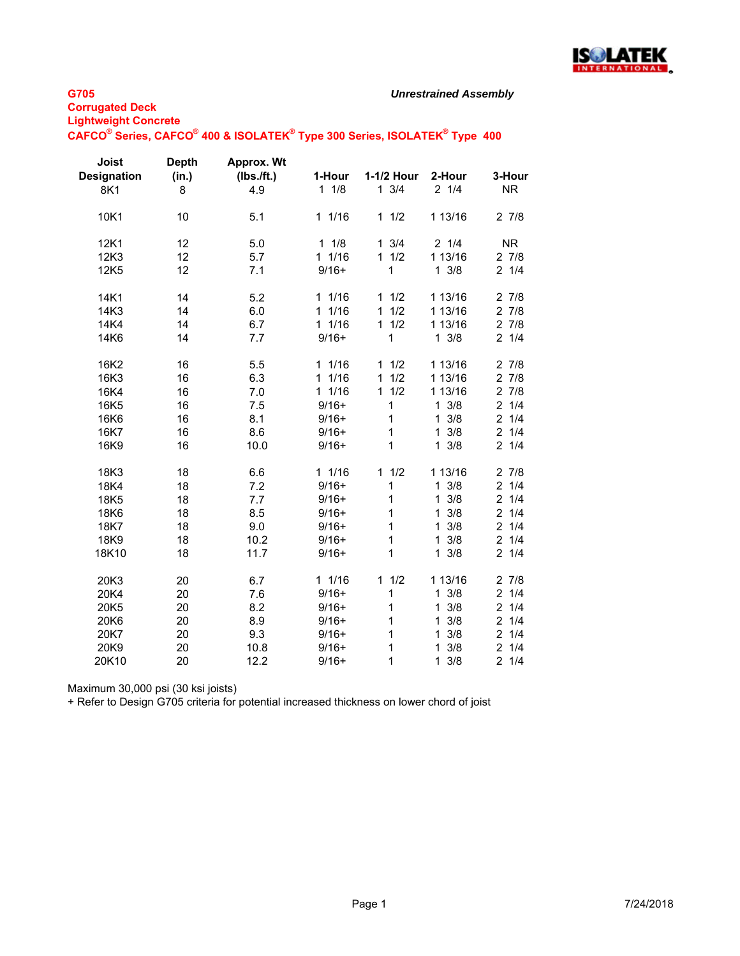

## *Unrestrained Assembly*

## **G705**

**Corrugated Deck Lightweight Concrete**

# **CAFCO® Series, CAFCO® 400 & ISOLATEK® Type 300 Series, ISOLATEK® Type 400**

| <b>Joist</b><br><b>Designation</b><br>8K1 | <b>Depth</b><br>(in.)<br>8 | Approx. Wt<br>(Ibs./ft.)<br>4.9 | 1-Hour<br>$1 \t1/8$  | 1-1/2 Hour<br>$1 \t3/4$ | 2-Hour<br>$2 \frac{1}{4}$ | 3-Hour<br><b>NR</b> |
|-------------------------------------------|----------------------------|---------------------------------|----------------------|-------------------------|---------------------------|---------------------|
| 10K1                                      | 10                         | 5.1                             | 11/16                | 11/2                    | 1 13/16                   | 27/8                |
| 12K1                                      | 12                         | 5.0                             | 11/8                 | $1 \t3/4$               | 21/4                      | <b>NR</b>           |
| 12K3                                      | 12                         | 5.7                             | 11/16                | 1/2<br>$\mathbf{1}$     | 1 13/16                   | 27/8                |
| 12K5                                      | 12                         | 7.1                             | $9/16+$              | 1                       | $1 \frac{3}{8}$           | 21/4                |
| 14K1                                      | 14                         | 5.2                             | 11/16                | 1/2<br>$\mathbf{1}$     | 1 13/16                   | 27/8                |
| 14K3                                      | 14                         | 6.0                             | 11/16                | 1/2<br>$\mathbf{1}$     | 1 13/16                   | 27/8                |
| 14K4                                      | 14                         | 6.7                             | 11/16                | 1/2<br>$\mathbf{1}$     | 1 13/16                   | 27/8                |
| 14K6                                      | 14                         | 7.7                             | $9/16+$              | 1                       | $1 \frac{3}{8}$           | 21/4                |
| 16K2                                      | 16                         | 5.5                             | 11/16                | 11/2                    | 1 13/16                   | 27/8                |
| 16K3                                      | 16                         | 6.3                             | 1/16<br>$\mathbf{1}$ | 1/2<br>$\mathbf{1}$     | 1 13/16                   | 27/8                |
| 16K4                                      | 16                         | 7.0                             | 11/16                | 11/2                    | 1 13/16                   | 27/8                |
| 16K <sub>5</sub>                          | 16                         | 7.5                             | $9/16+$              | 1                       | $1 \frac{3}{8}$           | 21/4                |
| 16K6                                      | 16                         | 8.1                             | $9/16+$              | 1                       | $1 \frac{3}{8}$           | 21/4                |
| 16K7                                      | 16                         | 8.6                             | $9/16+$              | 1                       | $1 \frac{3}{8}$           | 21/4                |
| 16K9                                      | 16                         | 10.0                            | $9/16+$              | 1                       | $1 \frac{3}{8}$           | 21/4                |
| 18K3                                      | 18                         | 6.6                             | 11/16                | 1/2<br>$\mathbf{1}$     | 1 13/16                   | 27/8                |
| 18K4                                      | 18                         | 7.2                             | $9/16+$              | 1                       | 3/8<br>$\mathbf{1}$       | 21/4                |
| 18K5                                      | 18                         | 7.7                             | $9/16+$              | 1                       | 3/8<br>$\mathbf{1}$       | 21/4                |
| 18K6                                      | 18                         | 8.5                             | $9/16+$              | 1                       | 3/8<br>$\mathbf{1}$       | 21/4                |
| 18K7                                      | 18                         | 9.0                             | $9/16+$              | 1                       | 3/8<br>$\mathbf{1}$       | 21/4                |
| 18K9                                      | 18                         | 10.2                            | $9/16+$              | 1                       | 3/8<br>$\mathbf{1}$       | 21/4                |
| 18K10                                     | 18                         | 11.7                            | $9/16+$              | 1                       | $1 \frac{3}{8}$           | 21/4                |
| 20K3                                      | 20                         | 6.7                             | 11/16                | 11/2                    | 1 13/16                   | 27/8                |
| 20K4                                      | 20                         | 7.6                             | $9/16+$              | 1                       | $1 \frac{3}{8}$           | 21/4                |
| 20K5                                      | 20                         | 8.2                             | $9/16+$              | 1                       | $1 \frac{3}{8}$           | 21/4                |
| 20K6                                      | 20                         | 8.9                             | $9/16+$              | 1                       | 3/8<br>$\mathbf{1}$       | 21/4                |
| 20K7                                      | 20                         | 9.3                             | $9/16+$              | 1                       | 3/8<br>$\mathbf{1}$       | 21/4                |
| 20K9                                      | 20                         | 10.8                            | $9/16+$              | 1                       | 3/8<br>$\mathbf{1}$       | 21/4                |
| 20K10                                     | 20                         | 12.2                            | $9/16+$              | 1                       | $1 \frac{3}{8}$           | 21/4                |

Maximum 30,000 psi (30 ksi joists)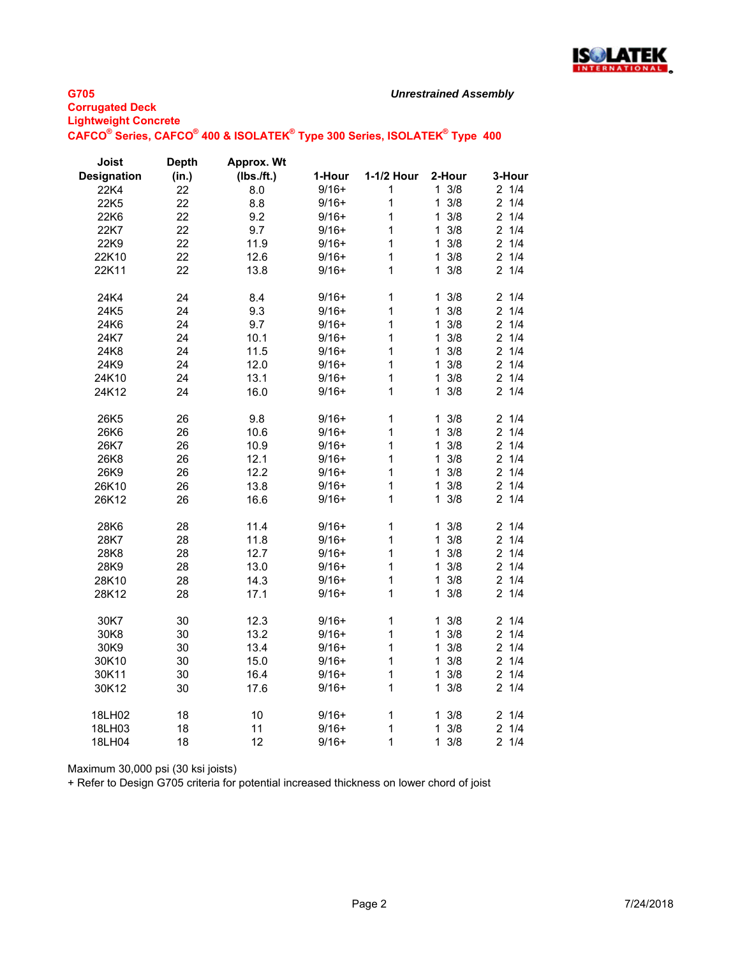

# **Corrugated Deck Lightweight Concrete** *Unrestrained Assembly*

| CAFCO <sup>®</sup> Series, CAFCO <sup>®</sup> 400 & ISOLATEK <sup>®</sup> Type 300 Series, ISOLATEK <sup>®</sup> Type 400 |  |  |  |  |  |  |  |
|---------------------------------------------------------------------------------------------------------------------------|--|--|--|--|--|--|--|
|---------------------------------------------------------------------------------------------------------------------------|--|--|--|--|--|--|--|

| Joist              | <b>Depth</b> | <b>Approx. Wt</b> |         |              |                     |                       |
|--------------------|--------------|-------------------|---------|--------------|---------------------|-----------------------|
| <b>Designation</b> | (in.)        | (Ibs./ft.)        | 1-Hour  | 1-1/2 Hour   | 2-Hour              | 3-Hour                |
| 22K4               | 22           | 8.0               | $9/16+$ | 1            | $1 \frac{3}{8}$     | 21/4                  |
| 22K5               | 22           | 8.8               | $9/16+$ | $\mathbf{1}$ | 3/8<br>1            | $\overline{c}$<br>1/4 |
| 22K6               | 22           | 9.2               | $9/16+$ | 1            | 3/8<br>$\mathbf{1}$ | $2 \t1/4$             |
| 22K7               | 22           | 9.7               | $9/16+$ | $\mathbf{1}$ | $1 \frac{3}{8}$     | 21/4                  |
| 22K9               | 22           | 11.9              | $9/16+$ | $\mathbf{1}$ | 3/8<br>$\mathbf{1}$ | $2 \t1/4$             |
| 22K10              | 22           | 12.6              | $9/16+$ | 1            | 3/8<br>$\mathbf{1}$ | 21/4                  |
| 22K11              | 22           | 13.8              | $9/16+$ | $\mathbf{1}$ | 3/8<br>1            | 21/4                  |
| 24K4               | 24           | 8.4               | $9/16+$ | $\mathbf 1$  | 3/8<br>$\mathbf{1}$ | 21/4                  |
| 24K5               | 24           | 9.3               | $9/16+$ | $\mathbf{1}$ | $\mathbf{1}$<br>3/8 | 1/4<br>$\overline{c}$ |
| 24K6               | 24           | 9.7               | $9/16+$ | 1            | 3/8<br>1            | 21/4                  |
| 24K7               | 24           | 10.1              | $9/16+$ | $\mathbf{1}$ | 3/8<br>$\mathbf{1}$ | $2 \t1/4$             |
| 24K8               | 24           | 11.5              | $9/16+$ | $\mathbf{1}$ | 3/8<br>$\mathbf{1}$ | 1/4<br>$\overline{2}$ |
| 24K9               | 24           | 12.0              | $9/16+$ | $\mathbf{1}$ | 3/8<br>$\mathbf{1}$ | 21/4                  |
| 24K10              | 24           | 13.1              | $9/16+$ | $\mathbf{1}$ | 1<br>3/8            | $\overline{2}$<br>1/4 |
| 24K12              | 24           | 16.0              | $9/16+$ | $\mathbf{1}$ | 3/8<br>$\mathbf{1}$ | 21/4                  |
| 26K5               | 26           | 9.8               | $9/16+$ | $\mathbf 1$  | 3/8<br>1            | 1/4<br>$\overline{2}$ |
| 26K6               | 26           | 10.6              | $9/16+$ | $\mathbf{1}$ | 3/8<br>$\mathbf{1}$ | 1/4<br>$\overline{2}$ |
| 26K7               | 26           | 10.9              | $9/16+$ | $\mathbf{1}$ | 3/8<br>$\mathbf{1}$ | 1/4<br>$\overline{2}$ |
| 26K8               | 26           | 12.1              | $9/16+$ | $\mathbf{1}$ | 3/8<br>$\mathbf{1}$ | $\overline{2}$<br>1/4 |
| 26K9               | 26           | 12.2              | $9/16+$ | $\mathbf 1$  | 3/8<br>$\mathbf{1}$ | $\overline{2}$<br>1/4 |
| 26K10              | 26           | 13.8              | $9/16+$ | $\mathbf{1}$ | 3/8<br>1            | 1/4<br>$\overline{2}$ |
| 26K12              | 26           | 16.6              | $9/16+$ | $\mathbf{1}$ | 3/8<br>1            | 21/4                  |
| 28K6               | 28           | 11.4              | $9/16+$ | $\mathbf 1$  | 3/8<br>1            | $\overline{2}$<br>1/4 |
| 28K7               | 28           | 11.8              | $9/16+$ | $\mathbf{1}$ | 3/8<br>$\mathbf{1}$ | $\overline{2}$<br>1/4 |
| 28K8               | 28           | 12.7              | $9/16+$ | $\mathbf{1}$ | $1 \frac{3}{8}$     | 21/4                  |
| 28K9               | 28           | 13.0              | $9/16+$ | $\mathbf 1$  | 3/8<br>$\mathbf{1}$ | 21/4                  |
| 28K10              | 28           | 14.3              | $9/16+$ | $\mathbf{1}$ | 3/8<br>$\mathbf{1}$ | $\overline{2}$<br>1/4 |
| 28K12              | 28           | 17.1              | $9/16+$ | 1            | 3/8<br>1            | 1/4<br>$\overline{2}$ |
| 30K7               | 30           | 12.3              | $9/16+$ | $\mathbf 1$  | 3/8<br>$\mathbf 1$  | 21/4                  |
| 30K8               | 30           | 13.2              | $9/16+$ | $\mathbf 1$  | 3/8<br>$\mathbf{1}$ | 21/4                  |
| 30K9               | 30           | 13.4              | $9/16+$ | $\mathbf{1}$ | 3/8<br>$\mathbf{1}$ | 21/4                  |
| 30K10              | 30           | 15.0              | $9/16+$ | $\mathbf 1$  | 3/8<br>$\mathbf{1}$ | 1/4<br>$\overline{2}$ |
| 30K11              | 30           | 16.4              | $9/16+$ | $\mathbf{1}$ | $\mathbf{1}$<br>3/8 | $\overline{2}$<br>1/4 |
| 30K12              | 30           | 17.6              | $9/16+$ | 1            | 3/8<br>$\mathbf{1}$ | $\overline{2}$<br>1/4 |
| 18LH02             | 18           | 10                | $9/16+$ | $\mathbf{1}$ | 3/8<br>1.           | 21/4                  |
| 18LH03             | 18           | 11                | $9/16+$ | $\mathbf{1}$ | 3/8<br>$\mathbf{1}$ | $\overline{2}$<br>1/4 |
| 18LH04             | 18           | 12                | $9/16+$ | $\mathbf{1}$ | $1 \frac{3}{8}$     | $\overline{2}$<br>1/4 |

Maximum 30,000 psi (30 ksi joists)

**G705**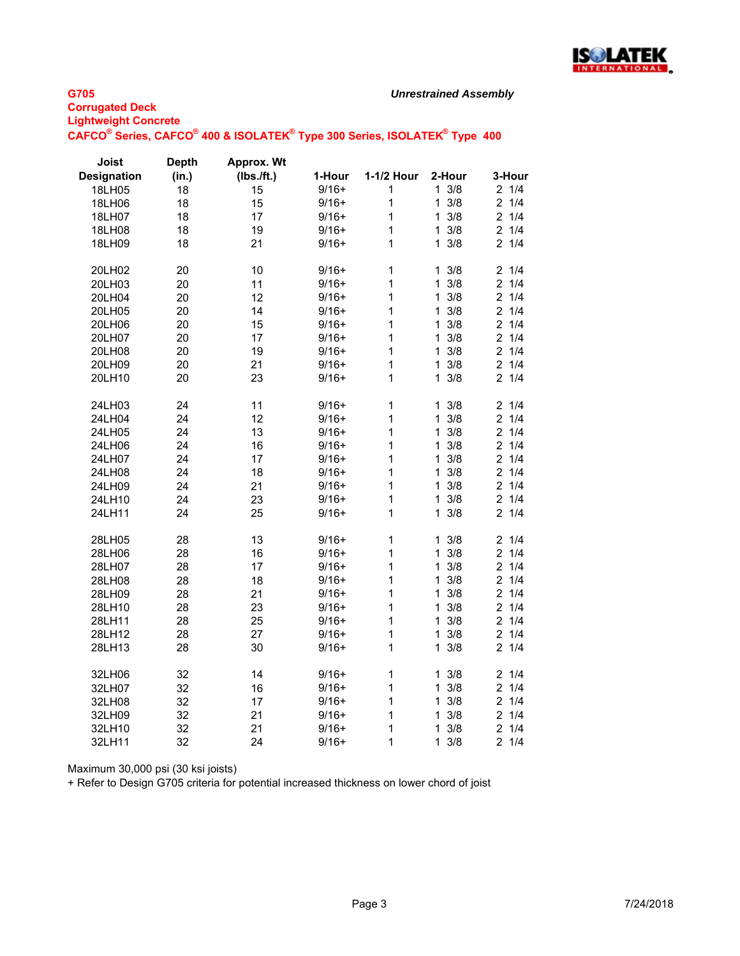

#### **G705 Corrugated Deck Lightweight Concrete** *Unrestrained Assembly* **CAFCO® Series, CAFCO® 400 & ISOLATEK® Type 300 Series, ISOLATEK® Type 400**

| Joist              | <b>Depth</b> | <b>Approx. Wt</b> |         |            |                     |                       |
|--------------------|--------------|-------------------|---------|------------|---------------------|-----------------------|
| <b>Designation</b> | (in.)        | (Ibs./ft.)        | 1-Hour  | 1-1/2 Hour | 2-Hour              | 3-Hour                |
| 18LH05             | 18           | 15                | $9/16+$ | 1          | $1 \frac{3}{8}$     | 21/4                  |
| 18LH06             | 18           | 15                | $9/16+$ | 1          | 3/8<br>1            | $\overline{2}$<br>1/4 |
| 18LH07             | 18           | 17                | $9/16+$ | 1          | 3/8<br>1            | $\overline{c}$<br>1/4 |
| 18LH08             | 18           | 19                | $9/16+$ | 1          | 3/8<br>1            | $2 \t1/4$             |
| 18LH09             | 18           | 21                | $9/16+$ | 1          | 3/8<br>1            | 1/4<br>2              |
| 20LH02             | 20           | 10                | $9/16+$ | 1          | 3/8<br>1            | 1/4<br>2              |
| 20LH03             | 20           | 11                | $9/16+$ | 1          | $\mathbf{1}$<br>3/8 | $\overline{2}$<br>1/4 |
| 20LH04             | 20           | 12                | $9/16+$ | 1          | 1<br>3/8            | 1/4<br>$\overline{2}$ |
| 20LH05             | 20           | 14                | $9/16+$ | 1          | 3/8<br>1            | $\overline{c}$<br>1/4 |
| 20LH06             | 20           | 15                | $9/16+$ | 1          | 3/8<br>1            | 1/4<br>2              |
| 20LH07             | 20           | 17                | $9/16+$ | 1          | 3/8<br>1            | 1/4<br>$\overline{2}$ |
| 20LH08             | 20           | 19                | $9/16+$ | 1          | 3/8<br>1            | $\overline{2}$<br>1/4 |
| 20LH09             | 20           | 21                | $9/16+$ | 1          | 3/8<br>1            | $\overline{2}$<br>1/4 |
| 20LH10             | 20           | 23                | $9/16+$ | 1          | 3/8<br>$\mathbf{1}$ | 1/4<br>$\overline{2}$ |
| 24LH03             | 24           | 11                | $9/16+$ | 1          | 3/8<br>1            | $\overline{2}$<br>1/4 |
| 24LH04             | 24           | 12                | $9/16+$ | 1          | 3/8<br>1            | 1/4<br>$\overline{2}$ |
| 24LH05             | 24           | 13                | $9/16+$ | 1          | 3/8<br>1            | $\overline{2}$<br>1/4 |
| 24LH06             | 24           | 16                | $9/16+$ | 1          | 3/8<br>1            | $\overline{2}$<br>1/4 |
| 24LH07             | 24           | 17                | $9/16+$ | 1          | 3/8<br>1            | 1/4<br>$\overline{c}$ |
| 24LH08             | 24           | 18                | $9/16+$ | 1          | 3/8<br>1            | 1/4<br>$\overline{2}$ |
| 24LH09             | 24           | 21                | $9/16+$ | 1          | 3/8<br>1            | 21/4                  |
| 24LH10             | 24           | 23                | $9/16+$ | 1          | 3/8<br>1            | $\overline{c}$<br>1/4 |
| 24LH11             | 24           | 25                | $9/16+$ | 1          | 3/8<br>1            | 1/4<br>$\overline{2}$ |
| 28LH05             | 28           | 13                | $9/16+$ | 1          | 3/8<br>1            | $\overline{2}$<br>1/4 |
| 28LH06             | 28           | 16                | $9/16+$ | 1          | 3/8<br>1            | 1/4<br>$\overline{c}$ |
| 28LH07             | 28           | 17                | $9/16+$ | 1          | $\mathbf{1}$<br>3/8 | $\overline{c}$<br>1/4 |
| 28LH08             | 28           | 18                | $9/16+$ | 1          | 3/8<br>1            | 1/4<br>$\overline{2}$ |
| 28LH09             | 28           | 21                | $9/16+$ | 1          | 3/8<br>1            | $\overline{2}$<br>1/4 |
| 28LH10             | 28           | 23                | $9/16+$ | 1          | 3/8<br>1            | 1/4<br>$\overline{2}$ |
| 28LH11             | 28           | 25                | $9/16+$ | 1          | 3/8<br>1            | $\overline{c}$<br>1/4 |
| 28LH12             | 28           | 27                | $9/16+$ | 1          | $\mathbf{1}$<br>3/8 | $\overline{c}$<br>1/4 |
| 28LH13             | 28           | 30                | $9/16+$ | 1          | 3/8<br>1            | 1/4<br>$\overline{2}$ |
| 32LH06             | 32           | 14                | $9/16+$ | 1          | $1 \frac{3}{8}$     | 21/4                  |
| 32LH07             | 32           | 16                | $9/16+$ | 1          | 3/8<br>1            | $\overline{2}$<br>1/4 |
| 32LH08             | 32           | 17                | $9/16+$ | 1          | 3/8<br>1            | 1/4<br>$\overline{2}$ |
| 32LH09             | 32           | 21                | $9/16+$ | 1          | 3/8<br>1            | 1/4<br>$\overline{c}$ |
| 32LH10             | 32           | 21                | $9/16+$ | 1          | 3/8<br>1            | $\overline{c}$<br>1/4 |
| 32LH11             | 32           | 24                | $9/16+$ | 1          | 3/8<br>1            | $\overline{2}$<br>1/4 |

Maximum 30,000 psi (30 ksi joists)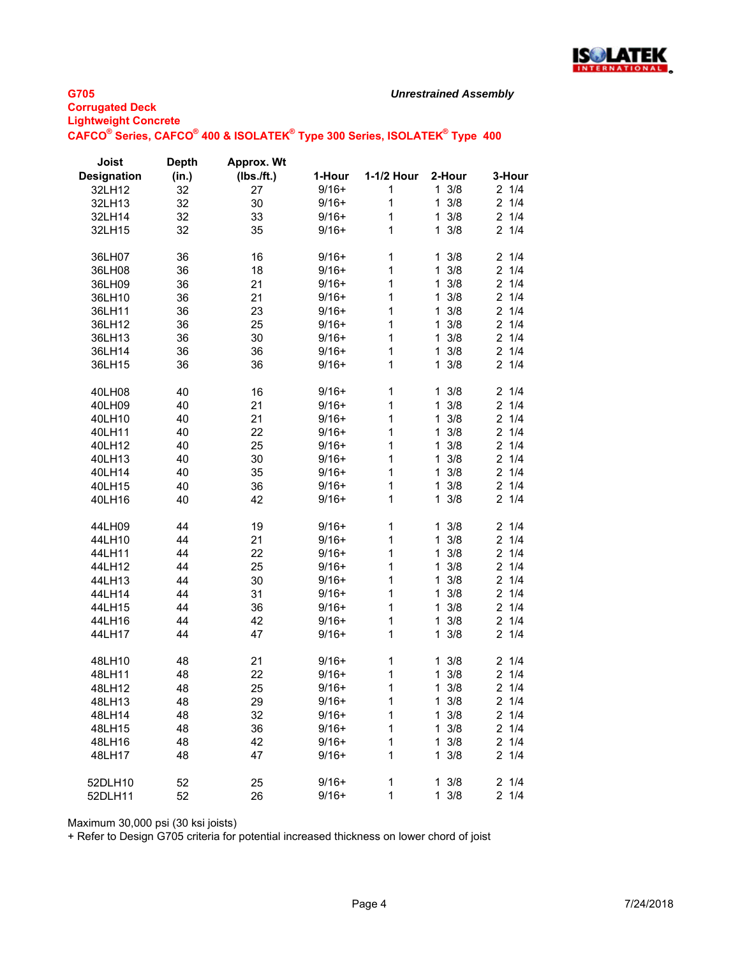

### *Unrestrained Assembly*

# **G705 Corrugated Deck Lightweight Concrete CAFCO® Series, CAFCO® 400 & ISOLATEK® Type 300 Series, ISOLATEK® Type 400**

| Joist              | <b>Depth</b> | Approx. Wt |         |            |                     |                       |
|--------------------|--------------|------------|---------|------------|---------------------|-----------------------|
| <b>Designation</b> | (in.)        | (lbs./ft.) | 1-Hour  | 1-1/2 Hour | 2-Hour              | 3-Hour                |
| 32LH12             | 32           | 27         | $9/16+$ | 1          | $1 \frac{3}{8}$     | 21/4                  |
| 32LH13             | 32           | 30         | $9/16+$ | 1          | $1 \frac{3}{8}$     | 21/4                  |
| 32LH14             | 32           | 33         | $9/16+$ | 1          | 3/8<br>1            | 21/4                  |
| 32LH15             | 32           | 35         | $9/16+$ | 1          | 3/8<br>1            | 21/4                  |
|                    |              |            |         |            |                     |                       |
| 36LH07             | 36           | 16         | $9/16+$ | 1          | 3/8<br>1            | 1/4<br>2              |
| 36LH08             | 36           | 18         | $9/16+$ | 1          | 3/8<br>$\mathbf{1}$ | $2 \t1/4$             |
| 36LH09             | 36           | 21         | $9/16+$ | 1          | $1 \frac{3}{8}$     | 21/4                  |
| 36LH10             | 36           | 21         | $9/16+$ | 1          | $1 \frac{3}{8}$     | 21/4                  |
| 36LH11             | 36           | 23         | $9/16+$ | 1          | 3/8<br>1            | 21/4                  |
| 36LH12             | 36           | 25         | $9/16+$ | 1          | $1 \frac{3}{8}$     | 21/4                  |
| 36LH13             | 36           | 30         | $9/16+$ | 1          | 3/8<br>1            | 21/4                  |
| 36LH14             | 36           | 36         | $9/16+$ | 1          | 3/8<br>$\mathbf{1}$ | 21/4                  |
| 36LH15             | 36           | 36         | $9/16+$ | 1          | 3/8<br>1            | 21/4                  |
|                    |              |            |         |            |                     |                       |
| 40LH08             | 40           | 16         | $9/16+$ | 1          | $1 \frac{3}{8}$     | 21/4                  |
| 40LH09             | 40           | 21         | $9/16+$ | 1          | 3/8<br>$\mathbf{1}$ | $\overline{2}$<br>1/4 |
| 40LH10             | 40           | 21         | $9/16+$ | 1          | 3/8<br>1            | 21/4                  |
|                    |              |            | $9/16+$ | 1          | 3/8<br>1            | 21/4                  |
| 40LH11             | 40           | 22         |         |            |                     | 21/4                  |
| 40LH12             | 40           | 25         | $9/16+$ | 1          | 3/8<br>$\mathbf{1}$ |                       |
| 40LH13             | 40           | 30         | $9/16+$ | 1          | $1 \frac{3}{8}$     | 21/4                  |
| 40LH14             | 40           | 35         | $9/16+$ | 1          | $1 \frac{3}{8}$     | 21/4                  |
| 40LH15             | 40           | 36         | $9/16+$ | 1          | $1 \frac{3}{8}$     | 21/4                  |
| 40LH16             | 40           | 42         | $9/16+$ | 1          | 3/8<br>$\mathbf{1}$ | 21/4                  |
|                    |              |            |         |            |                     |                       |
| 44LH09             | 44           | 19         | $9/16+$ | 1          | 3/8<br>$\mathbf{1}$ | 1/4<br>$\overline{2}$ |
| 44LH10             | 44           | 21         | $9/16+$ | 1          | 3/8<br>$\mathbf{1}$ | 21/4                  |
| 44LH11             | 44           | 22         | $9/16+$ | 1          | 3/8<br>$\mathbf{1}$ | 21/4                  |
| 44LH12             | 44           | 25         | $9/16+$ | 1          | $1 \frac{3}{8}$     | 21/4                  |
| 44LH13             | 44           | 30         | $9/16+$ | 1          | 3/8<br>$\mathbf{1}$ | 21/4                  |
| 44LH14             | 44           | 31         | $9/16+$ | 1          | 3/8<br>1            | $\overline{c}$<br>1/4 |
| 44LH15             | 44           | 36         | $9/16+$ | 1          | 3/8<br>1            | 21/4                  |
| 44LH16             | 44           | 42         | $9/16+$ | 1          | 3/8<br>1            | $\overline{c}$<br>1/4 |
| 44LH17             | 44           | 47         | $9/16+$ | 1          | 3/8<br>1            | $\overline{2}$<br>1/4 |
|                    |              |            |         |            |                     |                       |
| 48LH10             | 48           | 21         | $9/16+$ | 1          | $1 \frac{3}{8}$     | 21/4                  |
| 48LH11             | 48           | 22         | $9/16+$ | 1          | $1 \frac{3}{8}$     | 21/4                  |
| 48LH12             | 48           | 25         | $9/16+$ | 1          | $1 \frac{3}{8}$     | 21/4                  |
| 48LH13             | 48           | 29         | $9/16+$ | 1          | $1 \frac{3}{8}$     | $2 \t1/4$             |
| 48LH14             | 48           | 32         | $9/16+$ | 1          | $1 \frac{3}{8}$     | 21/4                  |
| 48LH15             | 48           | 36         | $9/16+$ | 1          | $1 \frac{3}{8}$     | $2 \t1/4$             |
| 48LH16             | 48           | 42         | $9/16+$ | 1          | $1 \frac{3}{8}$     | 21/4                  |
| 48LH17             | 48           | 47         | $9/16+$ | 1          | $1 \frac{3}{8}$     | 21/4                  |
|                    |              |            |         |            |                     |                       |
| 52DLH10            | 52           | 25         | $9/16+$ | 1          | $1 \frac{3}{8}$     | 21/4                  |
| 52DLH11            | 52           | 26         | $9/16+$ | 1          | $1 \frac{3}{8}$     | 21/4                  |

Maximum 30,000 psi (30 ksi joists)